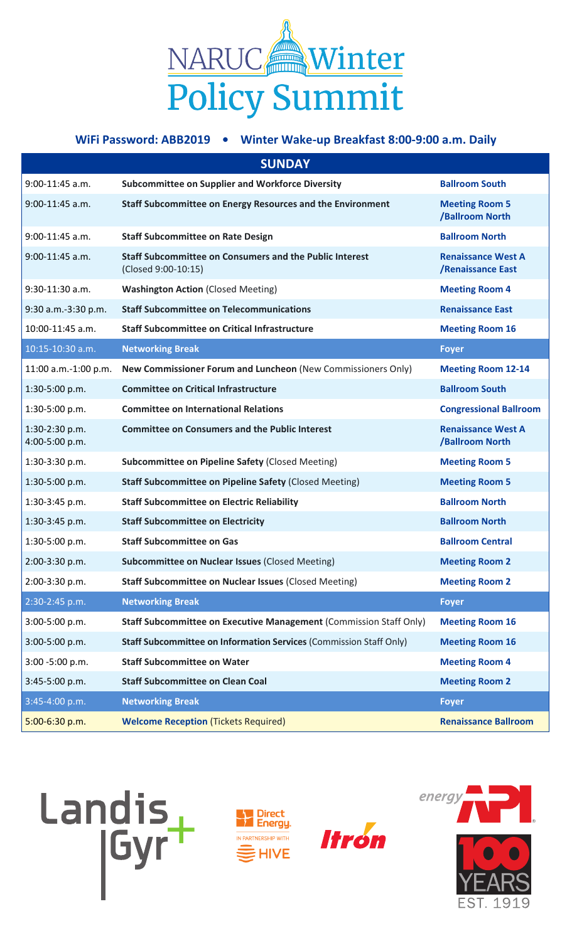

## **WiFi Password: ABB2019 • Winter Wake-up Breakfast 8:00-9:00 a.m. Daily**

| <b>SUNDAY</b>                    |                                                                                       |                                                |  |  |
|----------------------------------|---------------------------------------------------------------------------------------|------------------------------------------------|--|--|
| $9:00-11:45$ a.m.                | <b>Subcommittee on Supplier and Workforce Diversity</b>                               | <b>Ballroom South</b>                          |  |  |
| $9:00-11:45$ a.m.                | <b>Staff Subcommittee on Energy Resources and the Environment</b>                     | <b>Meeting Room 5</b><br>/Ballroom North       |  |  |
| 9:00-11:45 a.m.                  | <b>Staff Subcommittee on Rate Design</b>                                              | <b>Ballroom North</b>                          |  |  |
| $9:00-11:45$ a.m.                | <b>Staff Subcommittee on Consumers and the Public Interest</b><br>(Closed 9:00-10:15) | <b>Renaissance West A</b><br>/Renaissance East |  |  |
| $9:30-11:30$ a.m.                | <b>Washington Action (Closed Meeting)</b>                                             | <b>Meeting Room 4</b>                          |  |  |
| 9:30 a.m.-3:30 p.m.              | <b>Staff Subcommittee on Telecommunications</b>                                       | <b>Renaissance East</b>                        |  |  |
| 10:00-11:45 a.m.                 | <b>Staff Subcommittee on Critical Infrastructure</b>                                  | <b>Meeting Room 16</b>                         |  |  |
| 10:15-10:30 a.m.                 | <b>Networking Break</b>                                                               | <b>Foyer</b>                                   |  |  |
| 11:00 a.m.-1:00 p.m.             | New Commissioner Forum and Luncheon (New Commissioners Only)                          | <b>Meeting Room 12-14</b>                      |  |  |
| 1:30-5:00 p.m.                   | <b>Committee on Critical Infrastructure</b>                                           | <b>Ballroom South</b>                          |  |  |
| 1:30-5:00 p.m.                   | <b>Committee on International Relations</b>                                           | <b>Congressional Ballroom</b>                  |  |  |
| 1:30-2:30 p.m.<br>4:00-5:00 p.m. | <b>Committee on Consumers and the Public Interest</b>                                 | <b>Renaissance West A</b><br>/Ballroom North   |  |  |
| 1:30-3:30 p.m.                   | Subcommittee on Pipeline Safety (Closed Meeting)                                      | <b>Meeting Room 5</b>                          |  |  |
| 1:30-5:00 p.m.                   | <b>Staff Subcommittee on Pipeline Safety (Closed Meeting)</b>                         | <b>Meeting Room 5</b>                          |  |  |
| 1:30-3:45 p.m.                   | <b>Staff Subcommittee on Electric Reliability</b>                                     | <b>Ballroom North</b>                          |  |  |
| 1:30-3:45 p.m.                   | <b>Staff Subcommittee on Electricity</b>                                              | <b>Ballroom North</b>                          |  |  |
| 1:30-5:00 p.m.                   | <b>Staff Subcommittee on Gas</b>                                                      | <b>Ballroom Central</b>                        |  |  |
| 2:00-3:30 p.m.                   | <b>Subcommittee on Nuclear Issues (Closed Meeting)</b>                                | <b>Meeting Room 2</b>                          |  |  |
| 2:00-3:30 p.m.                   | <b>Staff Subcommittee on Nuclear Issues (Closed Meeting)</b>                          | <b>Meeting Room 2</b>                          |  |  |
| 2:30-2:45 p.m.                   | <b>Networking Break</b>                                                               | <b>Foyer</b>                                   |  |  |
| 3:00-5:00 p.m.                   | Staff Subcommittee on Executive Management (Commission Staff Only)                    | <b>Meeting Room 16</b>                         |  |  |
| 3:00-5:00 p.m.                   | Staff Subcommittee on Information Services (Commission Staff Only)                    | <b>Meeting Room 16</b>                         |  |  |
| 3:00 -5:00 p.m.                  | <b>Staff Subcommittee on Water</b>                                                    | <b>Meeting Room 4</b>                          |  |  |
| 3:45-5:00 p.m.                   | <b>Staff Subcommittee on Clean Coal</b>                                               | <b>Meeting Room 2</b>                          |  |  |
| 3:45-4:00 p.m.                   | <b>Networking Break</b>                                                               | <b>Foyer</b>                                   |  |  |
| 5:00-6:30 p.m.                   | <b>Welcome Reception (Tickets Required)</b>                                           | <b>Renaissance Ballroom</b>                    |  |  |